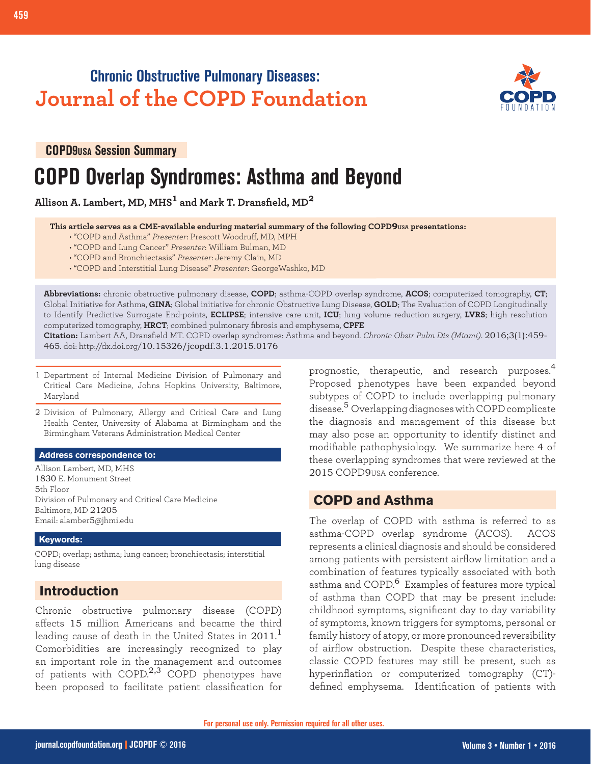# **Chronic Obstructive Pulmonary Diseases: Journal of the COPD Foundation**



**COPD9USA Session Summary**

# **COPD Overlap Syndromes: Asthma and Beyond**

**Allison A. Lambert, MD, MHS1 and Mark T. Dransfield, MD<sup>2</sup>**

 **This article serves as a CME-available enduring material summary of the following COPD9USA presentations:**

- "COPD and Asthma" *Presenter*: Prescott Woodruff, MD, MPH
- "COPD and Lung Cancer" *Presenter*: William Bulman, MD
- "COPD and Bronchiectasis" *Presenter*: Jeremy Clain, MD
- "COPD and Interstitial Lung Disease" *Presenter*: GeorgeWashko, MD

**Abbreviations:** chronic obstructive pulmonary disease, **COPD**; asthma-COPD overlap syndrome, **ACOS**; computerized tomography, **CT**; Global Initiative for Asthma, **GINA**; Global initiative for chronic Obstructive Lung Disease, **GOLD**; The Evaluation of COPD Longitudinally to Identify Predictive Surrogate End-points, **ECLIPSE**; intensive care unit, **ICU**; lung volume reduction surgery, **LVRS**; high resolution computerized tomography, **HRCT**; combined pulmonary fibrosis and emphysema, **CPFE**

**Citation:** Lambert AA, Dransfield MT. COPD overlap syndromes: Asthma and beyond. *Chronic Obstr Pulm Dis (Miami)*. 2016;3(1):459- 465. doi: http://dx.doi.org/10.15326/jcopdf.3.1.2015.0176

- 1 Department of Internal Medicine Division of Pulmonary and Critical Care Medicine, Johns Hopkins University, Baltimore, Maryland
- 2 Division of Pulmonary, Allergy and Critical Care and Lung Health Center, University of Alabama at Birmingham and the Birmingham Veterans Administration Medical Center

#### **Address correspondence to:**

Allison Lambert, MD, MHS 1830 E. Monument Street 5th Floor Division of Pulmonary and Critical Care Medicine Baltimore, MD 21205 Email: alamber5@jhmi.edu

### **Keywords:**

COPD; overlap; asthma; lung cancer; bronchiectasis; interstitial lung disease

## **Introduction**

Chronic obstructive pulmonary disease (COPD) affects 15 million Americans and became the third leading cause of death in the United States in 2011. $^{\rm l}$ Comorbidities are increasingly recognized to play an important role in the management and outcomes of patients with COPD.<sup>2,3</sup> COPD phenotypes have been proposed to facilitate patient classification for prognostic, therapeutic, and research purposes.<sup>4</sup> Proposed phenotypes have been expanded beyond subtypes of COPD to include overlapping pulmonary disease.<sup>5</sup> Overlapping diagnoses with COPD complicate the diagnosis and management of this disease but may also pose an opportunity to identify distinct and modifiable pathophysiology. We summarize here 4 of these overlapping syndromes that were reviewed at the 2015 COPD9USA conference.

## **COPD and Asthma**

The overlap of COPD with asthma is referred to as asthma-COPD overlap syndrome (ACOS). ACOS represents a clinical diagnosis and should be considered among patients with persistent airflow limitation and a combination of features typically associated with both asthma and COPD.<sup>6</sup> Examples of features more typical of asthma than COPD that may be present include: childhood symptoms, significant day to day variability of symptoms, known triggers for symptoms, personal or family history of atopy, or more pronounced reversibility of airflow obstruction. Despite these characteristics, classic COPD features may still be present, such as hyperinflation or computerized tomography (CT) defined emphysema. Identification of patients with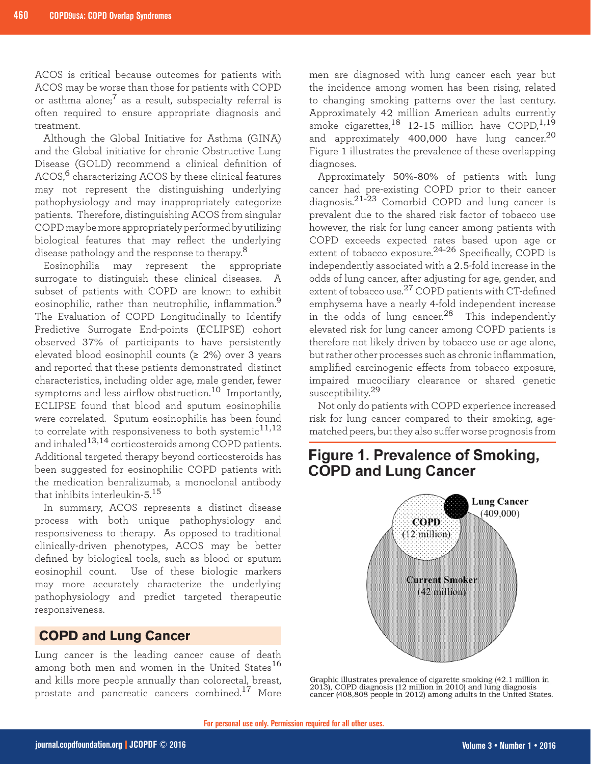ACOS is critical because outcomes for patients with ACOS may be worse than those for patients with COPD or asthma alone; $<sup>7</sup>$  as a result, subspecialty referral is</sup> often required to ensure appropriate diagnosis and treatment.

Although the Global Initiative for Asthma (GINA) and the Global initiative for chronic Obstructive Lung Disease (GOLD) recommend a clinical definition of ACOS,<sup>6</sup> characterizing ACOS by these clinical features may not represent the distinguishing underlying pathophysiology and may inappropriately categorize patients. Therefore, distinguishing ACOS from singular COPD may be more appropriately performed by utilizing biological features that may reflect the underlying disease pathology and the response to therapy.<sup>8</sup>

Eosinophilia may represent the appropriate surrogate to distinguish these clinical diseases. A subset of patients with COPD are known to exhibit eosinophilic, rather than neutrophilic, inflammation.<sup>9</sup> The Evaluation of COPD Longitudinally to Identify Predictive Surrogate End-points (ECLIPSE) cohort observed 37% of participants to have persistently elevated blood eosinophil counts ( $\geq$  2%) over 3 years and reported that these patients demonstrated distinct characteristics, including older age, male gender, fewer symptoms and less airflow obstruction.<sup>10</sup> Importantly, ECLIPSE found that blood and sputum eosinophilia were correlated. Sputum eosinophilia has been found to correlate with responsiveness to both systemic<sup>11,12</sup> and inhaled $^{13,14}$  corticosteroids among COPD patients. Additional targeted therapy beyond corticosteroids has been suggested for eosinophilic COPD patients with the medication benralizumab, a monoclonal antibody that inhibits interleukin-5. 15

In summary, ACOS represents a distinct disease process with both unique pathophysiology and responsiveness to therapy. As opposed to traditional clinically-driven phenotypes, ACOS may be better defined by biological tools, such as blood or sputum eosinophil count. Use of these biologic markers may more accurately characterize the underlying pathophysiology and predict targeted therapeutic responsiveness.

### **COPD and Lung Cancer**

Lung cancer is the leading cancer cause of death among both men and women in the United States<sup>16</sup> and kills more people annually than colorectal, breast, prostate and pancreatic cancers combined.17 More

men are diagnosed with lung cancer each year but the incidence among women has been rising, related to changing smoking patterns over the last century. Approximately 42 million American adults currently smoke cigarettes, $^{18}$  12-15 million have COPD, $^{1,19}$ and approximately 400,000 have lung cancer.<sup>20</sup> Figure 1 illustrates the prevalence of these overlapping diagnoses.

Approximately 50%-80% of patients with lung cancer had pre-existing COPD prior to their cancer diagnosis.<sup>21-23</sup> Comorbid COPD and lung cancer is prevalent due to the shared risk factor of tobacco use however, the risk for lung cancer among patients with COPD exceeds expected rates based upon age or extent of tobacco exposure.<sup>24-26</sup> Specifically, COPD is independently associated with a 2.5-fold increase in the odds of lung cancer, after adjusting for age, gender, and extent of tobacco use.27 COPD patients with CT-defined emphysema have a nearly 4-fold independent increase in the odds of lung cancer.<sup>28</sup> This independently elevated risk for lung cancer among COPD patients is therefore not likely driven by tobacco use or age alone, but rather other processes such as chronic inflammation, amplified carcinogenic effects from tobacco exposure, impaired mucociliary clearance or shared genetic susceptibility.<sup>29</sup>

Not only do patients with COPD experience increased risk for lung cancer compared to their smoking, agematched peers, but they also suffer worse prognosis from

# Figure 1. Prevalence of Smoking, **COPD and Lung Cancer**



Graphic illustrates prevalence of cigarette smoking (42.1 million in 2013), COPD diagnosis (12 million in 2010) and lung diagnosis cancer (408,808 people in 2012) among adults in the United States.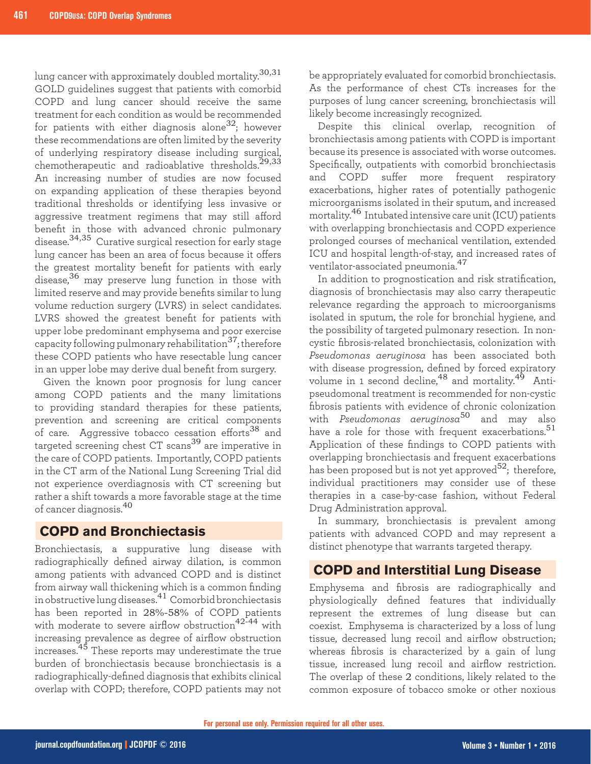lung cancer with approximately doubled mortality.30,31 GOLD guidelines suggest that patients with comorbid COPD and lung cancer should receive the same treatment for each condition as would be recommended for patients with either diagnosis alone<sup>32</sup>; however these recommendations are often limited by the severity of underlying respiratory disease including surgical, chemotherapeutic and radioablative thresholds.<sup>29,33</sup> An increasing number of studies are now focused on expanding application of these therapies beyond traditional thresholds or identifying less invasive or aggressive treatment regimens that may still afford benefit in those with advanced chronic pulmonary disease.<sup>34,35</sup> Curative surgical resection for early stage lung cancer has been an area of focus because it offers the greatest mortality benefit for patients with early disease,<sup>36</sup> may preserve lung function in those with limited reserve and may provide benefits similar to lung volume reduction surgery (LVRS) in select candidates. LVRS showed the greatest benefit for patients with upper lobe predominant emphysema and poor exercise capacity following pulmonary rehabilitation<sup>37</sup>; therefore these COPD patients who have resectable lung cancer in an upper lobe may derive dual benefit from surgery.

Given the known poor prognosis for lung cancer among COPD patients and the many limitations to providing standard therapies for these patients, prevention and screening are critical components of care. Aggressive tobacco cessation efforts<sup>38</sup> and targeted screening chest CT scans39 are imperative in the care of COPD patients. Importantly, COPD patients in the CT arm of the National Lung Screening Trial did not experience overdiagnosis with CT screening but rather a shift towards a more favorable stage at the time of cancer diagnosis.<sup>40</sup>

### **COPD and Bronchiectasis**

Bronchiectasis, a suppurative lung disease with radiographically defined airway dilation, is common among patients with advanced COPD and is distinct from airway wall thickening which is a common finding in obstructive lung diseases.41 Comorbid bronchiectasis has been reported in 28%-58% of COPD patients with moderate to severe airflow obstruction<sup>42-44</sup> with increasing prevalence as degree of airflow obstruction increases.45 These reports may underestimate the true burden of bronchiectasis because bronchiectasis is a radiographically-defined diagnosis that exhibits clinical overlap with COPD; therefore, COPD patients may not

be appropriately evaluated for comorbid bronchiectasis. As the performance of chest CTs increases for the purposes of lung cancer screening, bronchiectasis will likely become increasingly recognized.

Despite this clinical overlap, recognition of bronchiectasis among patients with COPD is important because its presence is associated with worse outcomes. Specifically, outpatients with comorbid bronchiectasis and COPD suffer more frequent respiratory exacerbations, higher rates of potentially pathogenic microorganisms isolated in their sputum, and increased mortality.46 Intubated intensive care unit (ICU) patients with overlapping bronchiectasis and COPD experience prolonged courses of mechanical ventilation, extended ICU and hospital length-of-stay, and increased rates of ventilator-associated pneumonia.<sup>47</sup>

In addition to prognostication and risk stratification, diagnosis of bronchiectasis may also carry therapeutic relevance regarding the approach to microorganisms isolated in sputum, the role for bronchial hygiene, and the possibility of targeted pulmonary resection. In noncystic fibrosis-related bronchiectasis, colonization with *Pseudomonas aeruginosa* has been associated both with disease progression, defined by forced expiratory volume in 1 second decline,<sup>48</sup> and mortality.<sup>49</sup> Antipseudomonal treatment is recommended for non-cystic fibrosis patients with evidence of chronic colonization with *Pseudomonas aeruginosa*50 and may also have a role for those with frequent exacerbations.<sup>51</sup> Application of these findings to COPD patients with overlapping bronchiectasis and frequent exacerbations has been proposed but is not yet approved<sup>52</sup>; therefore, individual practitioners may consider use of these therapies in a case-by-case fashion, without Federal Drug Administration approval.

In summary, bronchiectasis is prevalent among patients with advanced COPD and may represent a distinct phenotype that warrants targeted therapy.

## **COPD and Interstitial Lung Disease**

Emphysema and fibrosis are radiographically and physiologically defined features that individually represent the extremes of lung disease but can coexist. Emphysema is characterized by a loss of lung tissue, decreased lung recoil and airflow obstruction; whereas fibrosis is characterized by a gain of lung tissue, increased lung recoil and airflow restriction. The overlap of these 2 conditions, likely related to the common exposure of tobacco smoke or other noxious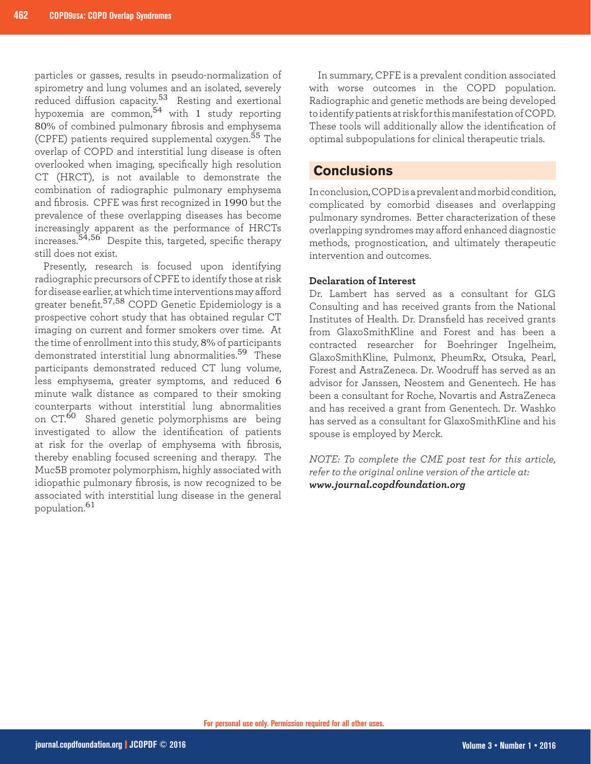particles or gasses, results in pseudo-normalization of spirometry and lung volumes and an isolated, severely reduced diffusion capacity.<sup>53</sup> Resting and exertional hypoxemia are common,<sup>54</sup> with 1 study reporting 80% of combined pulmonary fibrosis and emphysema (CPFE) patients required supplemental oxygen.<sup>55</sup> The overlap of COPD and interstitial lung disease is often overlooked when imaging, specifically high resolution CT (HRCT), is not available to demonstrate the combination of radiographic pulmonary emphysema and fibrosis. CPFE was first recognized in 1990 but the prevalence of these overlapping diseases has become increasingly apparent as the performance of HRCTs increases.<sup>54,56</sup> Despite this, targeted, specific therapy still does not exist.

Presently, research is focused upon identifying radiographic precursors of CPFE to identify those at risk for disease earlier, at which time interventions may afford greater benefit.57,58 COPD Genetic Epidemiology is a prospective cohort study that has obtained regular CT imaging on current and former smokers over time. At the time of enrollment into this study, 8% of participants demonstrated interstitial lung abnormalities.<sup>59</sup> These participants demonstrated reduced CT lung volume, less emphysema, greater symptoms, and reduced 6 minute walk distance as compared to their smoking counterparts without interstitial lung abnormalities on CT.<sup>60</sup> Shared genetic polymorphisms are being investigated to allow the identification of patients at risk for the overlap of emphysema with fibrosis, thereby enabling focused screening and therapy. The Muc5B promoter polymorphism, highly associated with idiopathic pulmonary fibrosis, is now recognized to be associated with interstitial lung disease in the general population.<sup>61</sup>

In summary, CPFE is a prevalent condition associated with worse outcomes in the COPD population. Radiographic and genetic methods are being developed to identify patients at risk for this manifestation of COPD. These tools will additionally allow the identification of optimal subpopulations for clinical therapeutic trials.

### **Conclusions**

In conclusion, COPD is a prevalent and morbid condition, complicated by comorbid diseases and overlapping pulmonary syndromes. Better characterization of these overlapping syndromes may afford enhanced diagnostic methods, prognostication, and ultimately therapeutic intervention and outcomes.

### **Declaration of Interest**

Dr. Lambert has served as a consultant for GLG Consulting and has received grants from the National Institutes of Health. Dr. Dransfield has received grants from GlaxoSmithKline and Forest and has been a contracted researcher for Boehringer Ingelheim, GlaxoSmithKline, Pulmonx, PheumRx, Otsuka, Pearl, Forest and AstraZeneca. Dr. Woodruff has served as an advisor for Janssen, Neostem and Genentech. He has been a consultant for Roche, Novartis and AstraZeneca and has received a grant from Genentech. Dr. Washko has served as a consultant for GlaxoSmithKline and his spouse is employed by Merck.

*NOTE: To complete the CME post test for this article, refer to the original online version of the article at: www.journal.copdfoundation.org*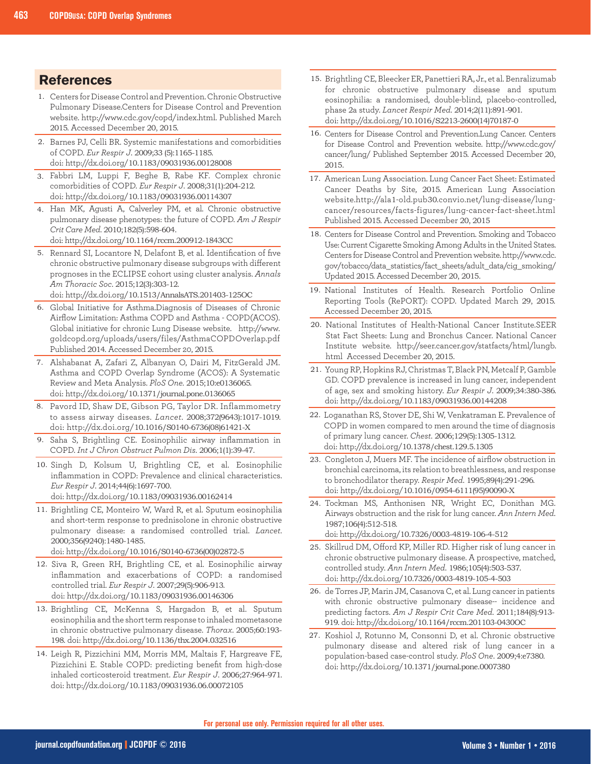### **References**

- Centers for Disease Control and Prevention. Chronic Obstructive 1. Pulmonary Disease.Centers for Disease Control and Prevention website. http://www.cdc.gov/copd/index.html. Published March 2015. Accessed December 20, 2015.
- 2. Barnes PJ, Celli BR. Systemic manifestations and comorbidities of COPD. *Eur Respir J*. 2009;33 (5):1165-1185. doi: http://dx.doi.org/10.1183/09031936.00128008
- Fabbri LM, Luppi F, Beghe B, Rabe KF. Complex chronic 3. comorbidities of COPD. *Eur Respir J*. 2008;31(1):204-212. doi: http://dx.doi.org/10.1183/09031936.00114307
- 4. Han MK, Agusti A, Calverley PM, et al. Chronic obstructive pulmonary disease phenotypes: the future of COPD. *Am J Respir Crit Care Med*. 2010;182(5):598-604. doi: http://dx.doi.org/10.1164/rccm.200912-1843CC
- 5. Rennard SI, Locantore N, Delafont B, et al. Identification of five chronic obstructive pulmonary disease subgroups with different prognoses in the ECLIPSE cohort using cluster analysis. *Annals Am Thoracic Soc*. 2015;12(3):303-12. doi: http://dx.doi.org/10.1513/AnnalsATS.201403-125OC
- Global Initiative for Asthma.Diagnosis of Diseases of Chronic 6. Airflow Limitation: Asthma COPD and Asthma - COPD(ACOS). Global initiative for chronic Lung Disease website. http://www. goldcopd.org/uploads/users/files/AsthmaCOPDOverlap.pdf Published 2014. Accessed December 20, 2015.
- Alshabanat A, Zafari Z, Albanyan O, Dairi M, FitzGerald JM. 7. Asthma and COPD Overlap Syndrome (ACOS): A Systematic Review and Meta Analysis. *PloS One.* 2015;10:e0136065. doi: http://dx.doi.org/10.1371/journal.pone.0136065
- Pavord ID, Shaw DE, Gibson PG, Taylor DR. Inflammometry to assess airway diseases. *Lancet*. 2008;372(9643):1017-1019. doi: http://dx.doi.org/10.1016/S0140-6736(08)61421-X 8.
- Saha S, Brightling CE. Eosinophilic airway inflammation in COPD. *Int J Chron Obstruct Pulmon Dis*. 2006;1(1):39-47. 9.
- 10. Singh D, Kolsum U, Brightling CE, et al. Eosinophilic inflammation in COPD: Prevalence and clinical characteristics. *Eur Respir J*. 2014;44(6):1697-700. doi: http://dx.doi.org/10.1183/09031936.00162414
- 11. Brightling CE, Monteiro W, Ward R, et al. Sputum eosinophilia and short-term response to prednisolone in chronic obstructive pulmonary disease: a randomised controlled trial. *Lancet*. 2000;356(9240):1480-1485.

doi: http://dx.doi.org/10.1016/S0140-6736(00)02872-5

- 12. Siva R, Green RH, Brightling CE, et al. Eosinophilic airway inflammation and exacerbations of COPD: a randomised controlled trial. *Eur Respir J*. 2007;29(5):906-913. doi: http://dx.doi.org/10.1183/09031936.00146306
- 13. Brightling CE, McKenna S, Hargadon B, et al. Sputum eosinophilia and the short term response to inhaled mometasone in chronic obstructive pulmonary disease. *Thorax*. 2005;60:193- 198. doi: http://dx.doi.org/10.1136/thx.2004.032516
- 14. Leigh R, Pizzichini MM, Morris MM, Maltais F, Hargreave FE, Pizzichini E. Stable COPD: predicting benefit from high-dose inhaled corticosteroid treatment. *Eur Respir J*. 2006;27:964-971. doi: http://dx.doi.org/10.1183/09031936.06.00072105
- 15. Brightling CE, Bleecker ER, Panettieri RA, Jr., et al. Benralizumab for chronic obstructive pulmonary disease and sputum eosinophilia: a randomised, double-blind, placebo-controlled, phase 2a study. *Lancet Respir Med*. 2014;2(11):891-901. doi: http://dx.doi.org/10.1016/S2213-2600(14)70187-0
- 16. Centers for Disease Control and Prevention.Lung Cancer. Centers for Disease Control and Prevention website. http://www.cdc.gov/ cancer/lung/ Published September 2015. Accessed December 20, 2015.
- 17. American Lung Association. Lung Cancer Fact Sheet: Estimated Cancer Deaths by Site, 2015. American Lung Association website.http://ala1-old.pub30.convio.net/lung-disease/lungcancer/resources/facts-figures/lung-cancer-fact-sheet.html Published 2015. Accessed December 20, 2015
- 18. Centers for Disease Control and Prevention. Smoking and Tobacco Use: Current Cigarette Smoking Among Adults in the United States. Centers for Disease Control and Prevention website. http://www.cdc. gov/tobacco/data\_statistics/fact\_sheets/adult\_data/cig\_smoking/ Updated 2015. Accessed December 20, 2015.
- 19. National Institutes of Health. Research Portfolio Online Reporting Tools (RePORT): COPD. Updated March 29, 2015. Accessed December 20, 2015.
- 20. National Institutes of Health-National Cancer Institute.SEER Stat Fact Sheets: Lung and Bronchus Cancer. National Cancer Institute website. http://seer.cancer.gov/statfacts/html/lungb. html Accessed December 20, 2015.
- 21. Young RP, Hopkins RJ, Christmas T, Black PN, Metcalf P, Gamble GD. COPD prevalence is increased in lung cancer, independent of age, sex and smoking history. *Eur Respir J*. 2009;34:380-386. doi: http://dx.doi.org/10.1183/09031936.00144208
- 22. Loganathan RS, Stover DE, Shi W, Venkatraman E. Prevalence of COPD in women compared to men around the time of diagnosis of primary lung cancer. *Chest*. 2006;129(5):1305-1312. doi: http://dx.doi.org/10.1378/chest.129.5.1305
- 23. Congleton J, Muers MF. The incidence of airflow obstruction in bronchial carcinoma, its relation to breathlessness, and response to bronchodilator therapy. *Respir Med*. 1995;89(4):291-296. doi: http://dx.doi.org/10.1016/0954-6111(95)90090-X
- 24. Tockman MS, Anthonisen NR, Wright EC, Donithan MG. Airways obstruction and the risk for lung cancer. *Ann Intern Med*. 1987;106(4):512-518.

doi: http://dx.doi.org/10.7326/0003-4819-106-4-512

- 25. Skillrud DM, Offord KP, Miller RD. Higher risk of lung cancer in chronic obstructive pulmonary disease. A prospective, matched, controlled study. *Ann Intern Med*. 1986;105(4):503-537. doi: http://dx.doi.org/10.7326/0003-4819-105-4-503
- 26. de Torres JP, Marin JM, Casanova C, et al. Lung cancer in patients with chronic obstructive pulmonary disease-- incidence and predicting factors. *Am J Respir Crit Care Med*. 2011;184(8):913- 919. doi: http://dx.doi.org/10.1164/rccm.201103-0430OC
- 27. Koshiol J, Rotunno M, Consonni D, et al. Chronic obstructive pulmonary disease and altered risk of lung cancer in a population-based case-control study. *PloS One*. 2009;4:e7380. doi: http://dx.doi.org/10.1371/journal.pone.0007380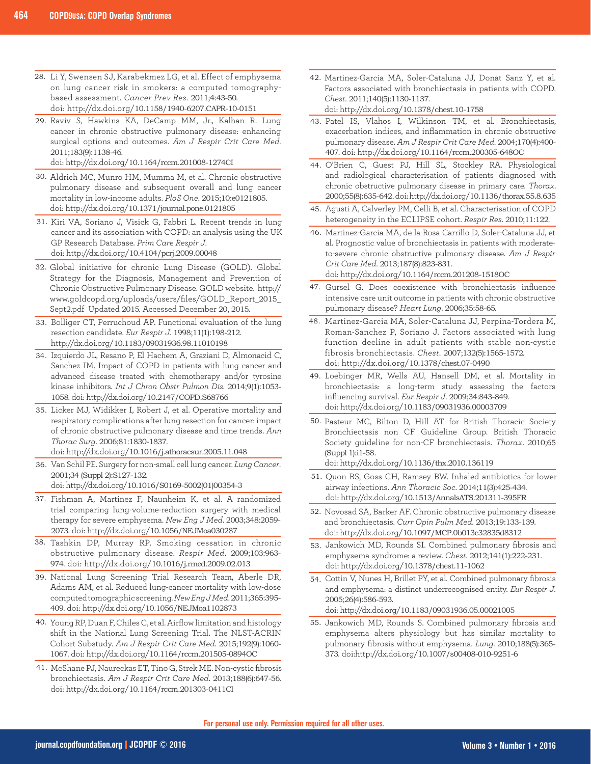- 28. Li Y, Swensen SJ, Karabekmez LG, et al. Effect of emphysema on lung cancer risk in smokers: a computed tomographybased assessment. *Cancer Prev Res*. 2011;4:43-50. doi: http://dx.doi.org/10.1158/1940-6207.CAPR-10-0151
- 29. Raviv S, Hawkins KA, DeCamp MM, Jr., Kalhan R. Lung cancer in chronic obstructive pulmonary disease: enhancing surgical options and outcomes. *Am J Respir Crit Care Med*. 2011;183(9):1138-46.

doi: http://dx.doi.org/10.1164/rccm.201008-1274CI

- Aldrich MC, Munro HM, Mumma M, et al. Chronic obstructive 30. pulmonary disease and subsequent overall and lung cancer mortality in low-income adults. *PloS One*. 2015;10:e0121805. doi: http://dx.doi.org/10.1371/journal.pone.0121805
- 31. Kiri VA, Soriano J, Visick G, Fabbri L. Recent trends in lung cancer and its association with COPD: an analysis using the UK GP Research Database. *Prim Care Respir J*. doi: http://dx.doi.org/10.4104/pcrj.2009.00048
- 32. Global initiative for chronic Lung Disease (GOLD). Global Strategy for the Diagnosis, Management and Prevention of Chronic Obstructive Pulmonary Disease. GOLD website. http:// www.goldcopd.org/uploads/users/files/GOLD\_Report\_2015\_ Sept2.pdf Updated 2015. Accessed December 20, 2015.
- 33. Bolliger CT, Perruchoud AP. Functional evaluation of the lung resection candidate. *Eur Respir J.* 1998;11(1):198-212. http://dx.doi.org/10.1183/09031936.98.11010198
- 34. Izquierdo JL, Resano P, El Hachem A, Graziani D, Almonacid C, Sanchez IM. Impact of COPD in patients with lung cancer and advanced disease treated with chemotherapy and/or tyrosine kinase inhibitors. *Int J Chron Obstr Pulmon Dis*. 2014;9(1):1053- 1058. doi: http://dx.doi.org/10.2147/COPD.S68766
- 35. Licker MJ, Widikker I, Robert J, et al. Operative mortality and respiratory complications after lung resection for cancer: impact of chronic obstructive pulmonary disease and time trends. *Ann Thorac Surg*. 2006;81:1830-1837.
	- doi: http://dx.doi.org/10.1016/j.athoracsur.2005.11.048
- 36. Van Schil PE. Surgery for non-small cell lung cancer. Lung Cancer. 2001;34 (Suppl 2):S127-132. doi: http://dx.doi.org/10.1016/S0169-5002(01)00354-3
- 37. Fishman A, Martinez F, Naunheim K, et al. A randomized trial comparing lung-volume-reduction surgery with medical therapy for severe emphysema. *New Eng J Med*. 2003;348:2059- 2073. doi: http://dx.doi.org/10.1056/NEJMoa030287
- 38. Tashkin DP, Murray RP. Smoking cessation in chronic obstructive pulmonary disease. *Respir Med*. 2009;103:963- 974. doi: http://dx.doi.org/10.1016/j.rmed.2009.02.013
- 39. National Lung Screening Trial Research Team, Aberle DR, Adams AM, et al. Reduced lung-cancer mortality with low-dose computed tomographic screening. *New Eng J Med*. 2011;365:395- 409. doi: http://dx.doi.org/10.1056/NEJMoa1102873
- 40. Young RP, Duan F, Chiles C, et al. Airflow limitation and histology shift in the National Lung Screening Trial. The NLST-ACRIN Cohort Substudy. *Am J Respir Crit Care Med*. 2015;192(9):1060- 1067. doi: http://dx.doi.org/10.1164/rccm.201505-0894OC
- 41. McShane PJ, Naureckas ET, Tino G, Strek ME. Non-cystic fibrosis bronchiectasis. *Am J Respir Crit Care Med*. 2013;188(6):647-56. doi: http://dx.doi.org/10.1164/rccm.201303-0411CI

Martinez-Garcia MA, Soler-Cataluna JJ, Donat Sanz Y, et al. 42. Factors associated with bronchiectasis in patients with COPD. *Chest*. 2011;140(5):1130-1137.

doi: http://dx.doi.org/10.1378/chest.10-1758

- Patel IS, Vlahos I, Wilkinson TM, et al. Bronchiectasis, 43. exacerbation indices, and inflammation in chronic obstructive pulmonary disease. *Am J Respir Crit Care Med*. 2004;170(4):400- 407. doi: http://dx.doi.org/10.1164/rccm.200305-648OC
- 44. O'Brien C, Guest PJ, Hill SL, Stockley RA. Physiological and radiological characterisation of patients diagnosed with chronic obstructive pulmonary disease in primary care. *Thorax*. 2000;55(8):635-642. doi: http://dx.doi.org/10.1136/thorax.55.8.635
- Agusti A, Calverley PM, Celli B, et al. Characterisation of COPD 45. heterogeneity in the ECLIPSE cohort. *Respir Res*. 2010;11:122.
- Martinez-Garcia MA, de la Rosa Carrillo D, Soler-Cataluna JJ, et 46. al. Prognostic value of bronchiectasis in patients with moderateto-severe chronic obstructive pulmonary disease. *Am J Respir Crit Care Med*. 2013;187(8):823-831. doi: http://dx.doi.org/10.1164/rccm.201208-1518OC
- 47. Gursel G. Does coexistence with bronchiectasis influence intensive care unit outcome in patients with chronic obstructive pulmonary disease? *Heart Lung*. 2006;35:58-65.
- 48. Martinez-Garcia MA, Soler-Cataluna JJ, Perpina-Tordera M, Roman-Sanchez P, Soriano J. Factors associated with lung function decline in adult patients with stable non-cystic fibrosis bronchiectasis. *Chest*. 2007;132(5):1565-1572. doi: http://dx.doi.org/10.1378/chest.07-0490
- 49. Loebinger MR, Wells AU, Hansell DM, et al. Mortality in bronchiectasis: a long-term study assessing the factors influencing survival. *Eur Respir J*. 2009;34:843-849. doi: http://dx.doi.org/10.1183/09031936.00003709
- 50. Pasteur MC, Bilton D, Hill AT for British Thoracic Society Bronchiectasis non CF Guideline Group. British Thoracic Society guideline for non-CF bronchiectasis. *Thorax*. 2010;65 (Suppl 1):i1-58.

doi: http://dx.doi.org/10.1136/thx.2010.136119

- 51. Quon BS, Goss CH, Ramsey BW. Inhaled antibiotics for lower airway infections. *Ann Thoracic Soc*. 2014;11(3):425-434. doi: http://dx.doi.org/10.1513/AnnalsATS.201311-395FR
- 52. Novosad SA, Barker AF. Chronic obstructive pulmonary disease and bronchiectasis. *Curr Opin Pulm Med*. 2013;19:133-139. doi: http://dx.doi.org/10.1097/MCP.0b013e32835d8312
- 53. Jankowich MD, Rounds SI. Combined pulmonary fibrosis and emphysema syndrome: a review. *Chest*. 2012;141(1):222-231. doi: http://dx.doi.org/10.1378/chest.11-1062
- Cottin V, Nunes H, Brillet PY, et al. Combined pulmonary fibrosis 54. and emphysema: a distinct underrecognised entity. *Eur Respir J*. 2005;26(4):586-593.

doi: http://dx.doi.org/10.1183/09031936.05.00021005

55. Jankowich MD, Rounds S. Combined pulmonary fibrosis and emphysema alters physiology but has similar mortality to pulmonary fibrosis without emphysema. *Lung*. 2010;188(5):365- 373. doi:http://dx.doi.org/10.1007/s00408-010-9251-6